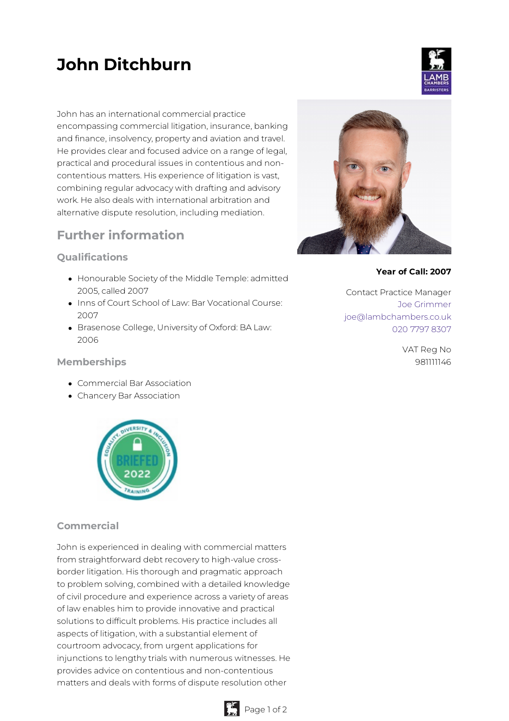# **John Ditchburn**

John has an international commercial practice encompassing commercial litigation, insurance, banking and finance, insolvency, property and aviation and travel. He provides clear and focused advice on a range of legal, practical and procedural issues in contentious and noncontentious matters. His experience of litigation is vast, combining regular advocacy with drafting and advisory work. He also deals with international arbitration and alternative dispute resolution, including mediation.

# **Further information**

## **Qualifications**

- Honourable Society of the Middle Temple: admitted 2005, called 2007
- Inns of Court School of Law: Bar Vocational Course: 2007
- Brasenose College, University of Oxford: BA Law: 2006

#### **Memberships**

- Commercial Bar Association
- Chancery Bar Association



## **Commercial**

John is experienced in dealing with commercial matters from straightforward debt recovery to high-value crossborder litigation. His thorough and pragmatic approach to problem solving, combined with a detailed knowledge of civil procedure and experience across a variety of areas of law enables him to provide innovative and practical solutions to difficult problems. His practice includes all aspects of litigation, with a substantial element of courtroom advocacy, from urgent applications for injunctions to lengthy trials with numerous witnesses. He provides advice on contentious and non-contentious matters and deals with forms of dispute resolution other





#### **Year of Call: 2007**

Contact Practice Manager Joe [Grimmer](mailto:joe@lambchambers.co.uk) [joe@lambchambers.co.uk](mailto:joe@lambchambers.co.uk) 020 7797 [8307](tel:020%207797%208307)

> VAT Reg No 981111146